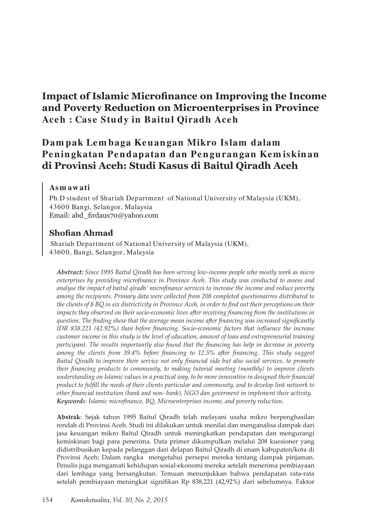# **Impact of Islamic Microfinance on Improving the Income and Poverty Reduction on Microenterprises in Province Ace h : Case Study in Baitul Qiradh Ace h**

## **Dam pak Le m baga Ke uan gan Mikro Islam dalam**  Peningkatan Pendapatan dan Pengurangan Kemiskinan **di Provinsi Aceh: Studi Kasus di Baitul Qiradh Aceh**

## **Asm aw ati**

Ph.D student of Shariah Department of National University of Malaysia (UKM), 43600 Bangi, Selangor, Malaysia Email: abd\_firdaus70@yahoo.com

## **Shofian Ahmad**

Shariah Department of National University of Malaysia (UKM), 43600, Bangi, Selangor, Malaysia

*Abstract: Since 1995 Baitul Qiradh has been serving low-income people who mostly work as micro enterprises by providing microfinance in Province Aceh. This study was conducted to assess and analyse the impact of baitul qiradh' microfinance services to increase the income and reduce poverty among the recipients. Primary data were collected from 208 completed questionairres distributed to the clients of 8 BQ in six district/city in Province Aceh, in order to find out their perceptions on their impacts they observed on their socio-economic lives after receiving financing from the institutions in question. The finding show that the average mean income after financing was increased significantly IDR 838.221 (42.92%) than before financing. Socio-economic factors that influence the increase customer income in this study is the level of education, amount of loan and entrepreneurial training participant. The results importantly also found that the financing has help in decrease in poverty among the clients from 39.4% before financing to 12.5% after financing. This study suggest Baitul Qiradh to improve their service not only financial side but also social services, to promote their financing products to community, to making tutorial meeting (monthly) to improve clients understanding on Islamic values in a practical way, to be more innovative in designed their financial product to fulfill the needs of their clients particular and community, and to develop link network to other financial institution (bank and non- bank), NGO dan goverment in implement their activity. Keywords: Islamic microfinance, BQ, Microenterprises income, and poverty reduction.* 

Abstrak: Sejak tahun 1995 Baitul Qiradh telah melayani usaha mikro berpenghasilan rendah di Provinsi Aceh. Studi ini dilakukan untuk menilai dan menganalisa dampak dari jasa keuangan mikro Baitul Qiradh untuk meningkatkan pendapatan dan mengurangi kemiskinan bagi para penerima. Data primer dikumpulkan melalui 208 kuesioner yang didistribusikan kepada pelanggan dari delapan Baitul Qiradh di enam kabupaten/kota di Provinsi Aceh; Dalam rangka mengetahui persepsi mereka tentang dampak pinjaman. Penulis juga mengamati kehidupan sosial-ekonomi mereka setelah menerima pembiayaan dari lembaga yang bersangkutan. Temuan menunjukkan bahwa pendapatan rata-rata setelah pembiayaan meningkat signifikan Rp 838,221 (42,92%) dari sebelumnya. Faktor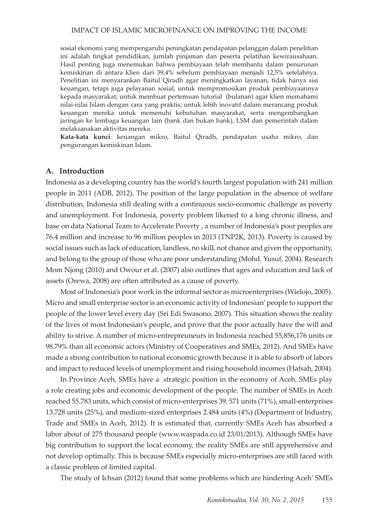sosial ekonomi yang mempengaruhi peningkatan pendapatan pelanggan dalam penelitian ini adalah tingkat pendidikan, jumlah pinjaman dan peserta pelatihan kewirausahaan. Hasil penting juga menemukan bahwa pembiayaan telah membantu dalam penurunan kemiskinan di antara klien dari 39,4% sebelum pembiayaan menjadi 12,5% setelahnya. Penelitian ini menyarankan Baitul Qiradh agar meningkatkan layanan, tidak hanya sisi keuangan, tetapi juga pelayanan sosial, untuk mempromosikan produk pembiayaannya kepada masyarakat; untuk membuat pertemuan tutorial (bulanan) agar klien memahami nilai-nilai Islam dengan cara yang praktis; untuk lebih inovatif dalam merancang produk keuangan mereka untuk memenuhi kebutuhan masyarakat, serta mengembangkan jaringan ke lembaga keuangan lain (bank dan bukan bank), LSM dan pemerintah dalam melaksanakan aktivitas mereka.

Kata-kata kunci: keuangan mikro, Baitul Qiradh, pendapatan usaha mikro, dan pengurangan kemiskinan Islam.

## **A. Introduction**

Indonesia as a developing country has the world's fourth largest population with 241 million people in 2011 (ADB, 2012). The position of the large population in the absence of welfare distribution, Indonesia still dealing with a continuous socio-economic challenge as poverty and unemployment. For Indonesia, poverty problem likened to a long chronic illness, and base on data National Team to Accelerate Poverty, a number of Indonesia's poor peoples are 76.4 million and increase to 96 million peoples in 2013 (TNP2K, 2013). Poverty is caused by social issues such as lack of education, landless, no skill, not chance and given the opportunity, and belong to the group of those who are poor understanding (Mohd. Yusuf, 2004). Research Mom Njong (2010) and Owour et al. (2007) also outlines that ages and education and lack of assets (Orewa, 2008) are often attributed as a cause of poverty.

Most of Indonesia's poor work in the informal sector as microenterprises (Wielojo, 2005). Micro and small enterprise sector is an economic activity of Indonesian' people to support the people of the lower level every day (Sri Edi Swasono, 2007). This situation shows the reality of the lives of most Indonesian's people, and prove that the poor actually have the will and ability to strive. A number of micro-entrepreuneurs in Indonesia reached 55,856,176 units or 98.79% than all economic actors (Ministry of Cooperatives and SMEs, 2012). And SMEs have made a strong contribution to national economic growth because it is able to absorb of labors and impact to reduced levels of unemployment and rising household incomes (Hafsah, 2004).

In Province Aceh, SMEs have a strategic position in the economy of Aceh. SMEs play a role creating jobs and economic development of the people. The number of SMEs in Aceh reached 55.783 units, which consist of micro-enterprises 39. 571 units (71%), small-enterprises 13.728 units (25%), and medium-sized enterprises 2.484 units (4%) (Department of Industry, Trade and SMEs in Aceh, 2012). It is estimated that, currently SMEs Aceh has absorbed a labor about of 275 thousand people (www.waspada.co.id 23/01/2013). Although SMEs have big contribution to support the local economy, the reality SMEs are still apprehensive and not develop optimally. This is because SMEs especially micro-enterprises are still faced with a classic problem of limited capital.

The study of Ichsan (2012) found that some problems which are hindering Aceh' SMEs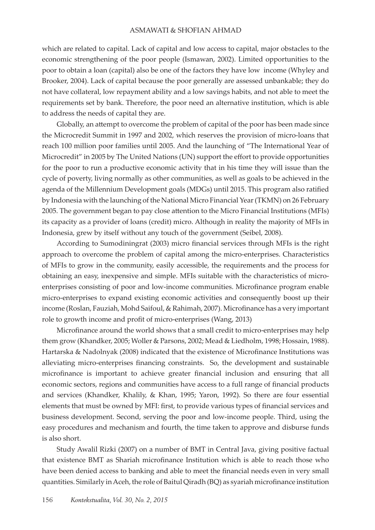which are related to capital. Lack of capital and low access to capital, major obstacles to the economic strengthening of the poor people (Ismawan, 2002). Limited opportunities to the poor to obtain a loan (capital) also be one of the factors they have low income (Whyley and Brooker, 2004). Lack of capital because the poor generally are assessed unbankable; they do not have collateral, low repayment ability and a low savings habits, and not able to meet the requirements set by bank. Therefore, the poor need an alternative institution, which is able to address the needs of capital they are.

Globally, an attempt to overcome the problem of capital of the poor has been made since the Microcredit Summit in 1997 and 2002, which reserves the provision of micro-loans that reach 100 million poor families until 2005. And the launching of "The International Year of Microcredit" in 2005 by The United Nations (UN) support the effort to provide opportunities for the poor to run a productive economic activity that in his time they will issue than the cycle of poverty, living normally as other communities, as well as goals to be achieved in the agenda of the Millennium Development goals (MDGs) until 2015. This program also ratified by Indonesia with the launching of the National Micro Financial Year (TKMN) on 26 February 2005. The government began to pay close attention to the Micro Financial Institutions (MFIs) its capacity as a provider of loans (credit) micro. Although in reality the majority of MFIs in Indonesia, grew by itself without any touch of the government (Seibel, 2008).

According to Sumodiningrat (2003) micro financial services through MFIs is the right approach to overcome the problem of capital among the micro-enterprises. Characteristics of MFIs to grow in the community, easily accessible, the requirements and the process for obtaining an easy, inexpensive and simple. MFIs suitable with the characteristics of microenterprises consisting of poor and low-income communities. Microfinance program enable micro-enterprises to expand existing economic activities and consequently boost up their income (Roslan, Fauziah, Mohd Saifoul, & Rahimah, 2007). Microfinance has a very important role to growth income and profit of micro-enterprises (Wang, 2013)

Microfinance around the world shows that a small credit to micro-enterprises may help them grow (Khandker, 2005; Woller & Parsons, 2002; Mead & Liedholm, 1998; Hossain, 1988). Hartarska & Nadolnyak  $(2008)$  indicated that the existence of Microfinance Institutions was alleviating micro-enterprises financing constraints. So, the development and sustainable microfinance is important to achieve greater financial inclusion and ensuring that all economic sectors, regions and communities have access to a full range of financial products and services (Khandker, Khalily, & Khan, 1995; Yaron, 1992). So there are four essential elements that must be owned by MFI: first, to provide various types of financial services and business development. Second, serving the poor and low-income people. Third, using the easy procedures and mechanism and fourth, the time taken to approve and disburse funds is also short.

Study Awalil Rizki (2007) on a number of BMT in Central Java, giving positive factual that existence BMT as Shariah microfinance Institution which is able to reach those who have been denied access to banking and able to meet the financial needs even in very small quantities. Similarly in Aceh, the role of Baitul Qiradh (BQ) as syariah microfinance institution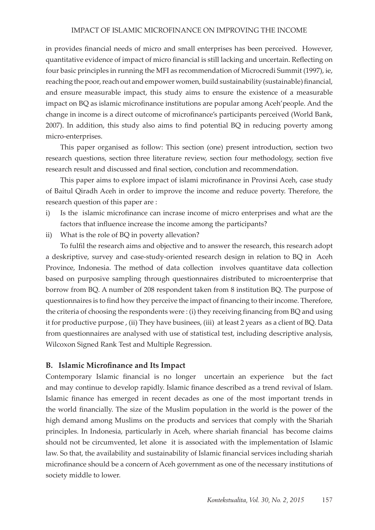in provides financial needs of micro and small enterprises has been perceived. However, quantitative evidence of impact of micro financial is still lacking and uncertain. Reflecting on four basic principles in running the MFI as recommendation of Microcredi Summit (1997), ie, reaching the poor, reach out and empower women, build sustainability (sustainable) financial, and ensure measurable impact, this study aims to ensure the existence of a measurable impact on BQ as islamic microfinance institutions are popular among Aceh'people. And the change in income is a direct outcome of microfinance's participants perceived (World Bank,  $2007$ ). In addition, this study also aims to find potential  $BQ$  in reducing poverty among micro-enterprises.

This paper organised as follow: This section (one) present introduction, section two research questions, section three literature review, section four methodology, section five research result and discussed and final section, conclution and recommendation.

This paper aims to explore impact of islami microfinance in Provinsi Aceh, case study of Baitul Qiradh Aceh in order to improve the income and reduce poverty. Therefore, the research question of this paper are :

- i) Is the islamic microfinance can incrase income of micro enterprises and what are the factors that influence increase the income among the participants?
- ii) What is the role of  $BQ$  in poverty allevation?

To fulfil the research aims and objective and to answer the research, this research adopt a deskriptive, survey and case-study-oriented research design in relation to BQ in Aceh Province, Indonesia. The method of data collection involves quantitave data collection based on purposive sampling through questionnaires distributed to microenterprise that borrow from BQ. A number of 208 respondent taken from 8 institution BQ. The purpose of questionnaires is to find how they perceive the impact of financing to their income. Therefore, the criteria of choosing the respondents were : (i) they receiving financing from BQ and using it for productive purpose, (ii) They have businees, (iii) at least 2 years as a client of BQ. Data from questionnaires are analysed with use of statistical test, including descriptive analysis, Wilcoxon Signed Rank Test and Multiple Regression.

## **B. Islamic Microfinance and Its Impact**

Contemporary Islamic financial is no longer uncertain an experience but the fact and may continue to develop rapidly. Islamic finance described as a trend revival of Islam. Islamic finance has emerged in recent decades as one of the most important trends in the world financially. The size of the Muslim population in the world is the power of the high demand among Muslims on the products and services that comply with the Shariah principles. In Indonesia, particularly in Aceh, where shariah financial has become claims should not be circumvented, let alone it is associated with the implementation of Islamic law. So that, the availability and sustainability of Islamic financial services including shariah microfinance should be a concern of Aceh government as one of the necessary institutions of society middle to lower.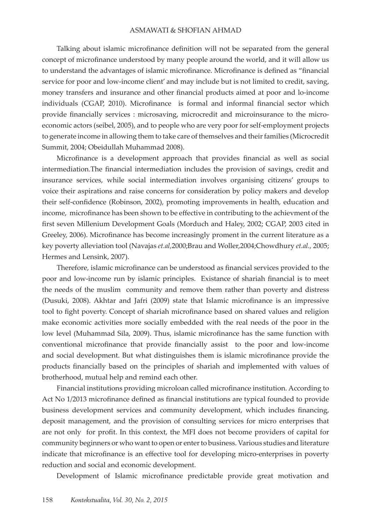Talking about islamic microfinance definition will not be separated from the general concept of microfinance understood by many people around the world, and it will allow us to understand the advantages of islamic microfinance. Microfinance is defined as "financial service for poor and low-income client' and may include but is not limited to credit, saving, money transfers and insurance and other financial products aimed at poor and lo-income individuals (CGAP, 2010). Microfinance is formal and informal financial sector which provide financially services : microsaving, microcredit and microinsurance to the microeconomic actors (seibel, 2005), and to people who are very poor for self-employment projects to generate income in allowing them to take care of themselves and their families (Microcredit Summit, 2004; Obeidullah Muhammad 2008).

Microfinance is a development approach that provides financial as well as social intermediation.The financial intermediation includes the provision of savings, credit and insurance services, while social intermediation involves organising citizens' groups to voice their aspirations and raise concerns for consideration by policy makers and develop their self-confidence (Robinson, 2002), promoting improvements in health, education and income, microfinance has been shown to be effective in contributing to the achievment of the first seven Millenium Development Goals (Morduch and Haley, 2002; CGAP, 2003 cited in Greeley, 2006). Microfinance has become increasingly proment in the current literature as a key poverty alleviation tool (Navajas et.al,2000;Brau and Woller,2004;Chowdhury et.al., 2005; Hermes and Lensink, 2007).

Therefore, islamic microfinance can be understood as financial services provided to the poor and low-income run by islamic principles. Existance of shariah financial is to meet the needs of the muslim community and remove them rather than poverty and distress (Dusuki, 2008). Akhtar and Jafri (2009) state that Islamic microfinance is an impressive tool to fight poverty. Concept of shariah microfinance based on shared values and religion make economic activities more socially embedded with the real needs of the poor in the low level (Muhammad Sila, 2009). Thus, islamic microfinance has the same function with conventional microfinance that provide financially assist to the poor and low-income and social development. But what distinguishes them is islamic microfinance provide the products financially based on the principles of shariah and implemented with values of brotherhood, mutual help and remind each other.

Financial institutions providing microloan called microfinance institution. According to Act No 1/2013 microfinance defined as financial institutions are typical founded to provide business development services and community development, which includes financing, deposit management, and the provision of consulting services for micro enterprises that are not only for profit. In this context, the MFI does not become providers of capital for community beginners or who want to open or enter to business. Various studies and literature indicate that microfinance is an effective tool for developing micro-enterprises in poverty reduction and social and economic development.

Development of Islamic microfinance predictable provide great motivation and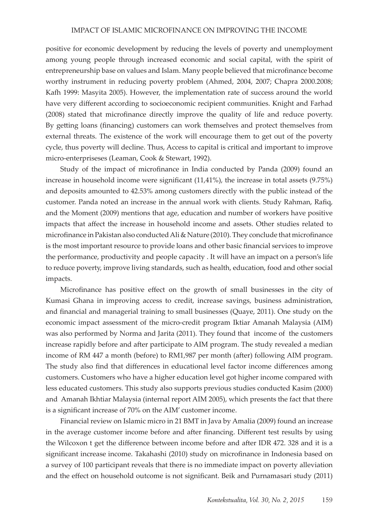positive for economic development by reducing the levels of poverty and unemployment among young people through increased economic and social capital, with the spirit of entrepreneurship base on values and Islam. Many people believed that microfinance become worthy instrument in reducing poverty problem (Ahmed, 2004, 2007; Chapra 2000.2008; Kafh 1999: Masyita 2005). However, the implementation rate of success around the world have very different according to socioeconomic recipient communities. Knight and Farhad (2008) stated that microfinance directly improve the quality of life and reduce poverty. By getting loans (financing) customers can work themselves and protect themselves from external threats. The existence of the work will encourage them to get out of the poverty cycle, thus poverty will decline. Thus, Access to capital is critical and important to improve micro-enterpriseses (Leaman, Cook & Stewart, 1992).

Study of the impact of microfinance in India conducted by Panda (2009) found an increase in household income were significant  $(11,41\%)$ , the increase in total assets  $(9.75\%)$ and deposits amounted to 42.53% among customers directly with the public instead of the customer. Panda noted an increase in the annual work with clients. Study Rahman, Rafiq, and the Moment (2009) mentions that age, education and number of workers have positive impacts that affect the increase in household income and assets. Other studies related to microfinance in Pakistan also conducted Ali & Nature (2010). They conclude that microfinance is the most important resource to provide loans and other basic financial services to improve the performance, productivity and people capacity . It will have an impact on a person's life to reduce poverty, improve living standards, such as health, education, food and other social impacts.

Microfinance has positive effect on the growth of small businesses in the city of Kumasi Ghana in improving access to credit, increase savings, business administration, and financial and managerial training to small businesses (Quaye, 2011). One study on the economic impact assessment of the micro-credit program Iktiar Amanah Malaysia (AIM) was also performed by Norma and Jarita (2011). They found that income of the customers increase rapidly before and after participate to AIM program. The study revealed a median income of RM 447 a month (before) to RM1,987 per month (after) following AIM program. The study also find that differences in educational level factor income differences among customers. Customers who have a higher education level got higher income compared with less educated customers. This study also supports previous studies conducted Kasim (2000) and Amanah Ikhtiar Malaysia (internal report AIM 2005), which presents the fact that there is a significant increase of  $70\%$  on the AIM' customer income.

Financial review on Islamic micro in 21 BMT in Java by Amalia (2009) found an increase in the average customer income before and after financing. Different test results by using the Wilcoxon t get the difference between income before and after IDR 472. 328 and it is a significant increase income. Takahashi (2010) study on microfinance in Indonesia based on a survey of 100 participant reveals that there is no immediate impact on poverty alleviation and the effect on household outcome is not significant. Beik and Purnamasari study (2011)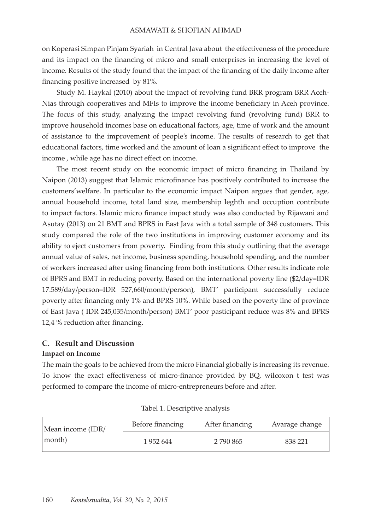on Koperasi Simpan Pinjam Syariah in Central Java about the effectiveness of the procedure and its impact on the financing of micro and small enterprises in increasing the level of income. Results of the study found that the impact of the financing of the daily income after financing positive increased by  $81\%$ .

Study M. Haykal (2010) about the impact of revolving fund BRR program BRR Aceh-Nias through cooperatives and MFIs to improve the income beneficiary in Aceh province. The focus of this study, analyzing the impact revolving fund (revolving fund) BRR to improve household incomes base on educational factors, age, time of work and the amount of assistance to the improvement of people's income. The results of research to get that educational factors, time worked and the amount of loan a significant effect to improve the income, while age has no direct effect on income.

The most recent study on the economic impact of micro financing in Thailand by Naipon (2013) suggest that Islamic microfinance has positively contributed to increase the customers'welfare. In particular to the economic impact Naipon argues that gender, age, annual household income, total land size, membership leghth and occuption contribute to impact factors. Islamic micro finance impact study was also conducted by Rijawani and Asutay (2013) on 21 BMT and BPRS in East Java with a total sample of 348 customers. This study compared the role of the two institutions in improving customer economy and its ability to eject customers from poverty. Finding from this study outlining that the average annual value of sales, net income, business spending, household spending, and the number of workers increased after using financing from both institutions. Other results indicate role of BPRS and BMT in reducing poverty. Based on the international poverty line  $(\frac{2}{day}=IDR)$ 17.589/day/person=IDR 527,660/month/person), BMT' participant successfully reduce poverty after financing only 1% and BPRS 10%. While based on the poverty line of province of East Java (IDR 245,035/month/person) BMT' poor pasticipant reduce was 8% and BPRS 12,4 % reduction after financing.

## **C. Result and Discussion**

## **Impact on Income**

The main the goals to be achieved from the micro Financial globally is increasing its revenue. To know the exact effectiveness of micro-finance provided by BQ, wilcoxon t test was performed to compare the income of micro-entrepreneurs before and after.

| Mean income (IDR/<br>month) | Before financing | After financing | Avarage change |
|-----------------------------|------------------|-----------------|----------------|
|                             | 1952644          | 2 790 865       | 838 221        |

Tabel 1. Descriptive analysis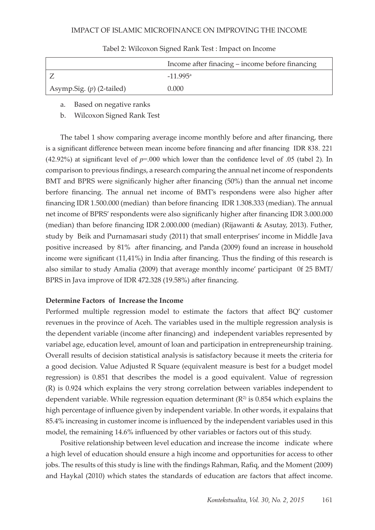|                             | Income after finacing – income before financing |  |
|-----------------------------|-------------------------------------------------|--|
|                             | $-11995a$                                       |  |
| Asymp.Sig. $(p)$ (2-tailed) | 0.000                                           |  |

### Tabel 2: Wilcoxon Signed Rank Test : Impact on Income

## a. Based on negative ranks

b. Wilcoxon Signed Rank Test

The tabel 1 show comparing average income monthly before and after financing, there is a significant difference between mean income before financing and after financing IDR 838. 221 (42.92%) at significant level of *p*=.000 which lower than the confidence level of .05 (tabel 2). In comparison to previous findings, a research comparing the annual net income of respondents BMT and BPRS were significanly higher after financing (50%) than the annual net income berfore financing. The annual net income of BMT's respondens were also higher after financing IDR 1.500.000 (median) than before financing IDR 1.308.333 (median). The annual net income of BPRS' respondents were also significanly higher after financing IDR 3.000.000 (median) than before financing IDR 2.000.000 (median) (Rijawanti & Asutay, 2013). Futher, study by Beik and Purnamasari study (2011) that small enterprises' income in Middle Java positive increased by 81% after financing, and Panda (2009) found an increase in household income were significant  $(11,41\%)$  in India after financing. Thus the finding of this research is also similar to study Amalia  $(2009)$  that average monthly income' participant  $0f 25 BMT/$ BPRS in Java improve of IDR 472.328 (19.58%) after financing.

## **Determine Factors of Increase the Income**

Performed multiple regression model to estimate the factors that affect BQ' customer revenues in the province of Aceh. The variables used in the multiple regression analysis is the dependent variable (income after financing) and independent variables represented by variabel age, education level, amount of loan and participation in entrepreneurship training. Overall results of decision statistical analysis is satisfactory because it meets the criteria for a good decision. Value Adjusted R Square (equivalent measure is best for a budget model regression) is  $0.851$  that describes the model is a good equivalent. Value of regression (R) is 0.924 which explains the very strong correlation between variables independent to dependent variable. While regression equation determinant  $(R^2)$  is 0.854 which explains the high percentage of influence given by independent variable. In other words, it expalains that 85.4% increasing in customer income is influenced by the independent variables used in this model, the remaining 14.6% influenced by other variables or factors out of this study.

Positive relationship between level education and increase the income indicate where a high level of education should ensure a high income and opportunities for access to other jobs. The results of this study is line with the findings Rahman, Rafiq, and the Moment (2009) and Haykal (2010) which states the standards of education are factors that affect income.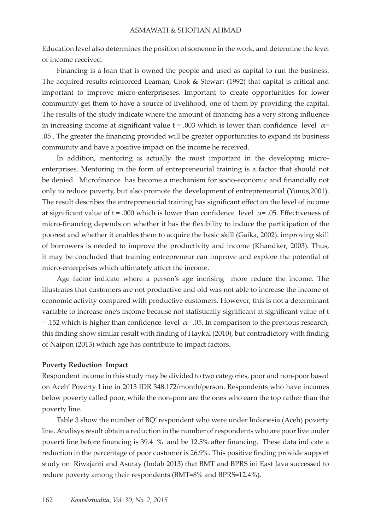Education level also determines the position of someone in the work, and determine the level of income received.

Financing is a loan that is owned the people and used as capital to run the business. The acquired results reinforced Leaman, Cook  $&$  Stewart (1992) that capital is critical and important to improve micro-enterpriseses. Important to create opportunities for lower community get them to have a source of livelihood, one of them by providing the capital. The results of the study indicate where the amount of financing has a very strong influence in increasing income at significant value  $t = .003$  which is lower than confidence level  $\alpha$ = .05. The greater the financing provided will be greater opportunities to expand its business community and have a positive impact on the income he received.

In addition, mentoring is actually the most important in the developing microenterprises. Mentoring in the form of entrepreneurial training is a factor that should not be denied. Microfinance has become a mechanism for socio-economic and financially not only to reduce poverty, but also promote the development of entrepreneurial (Yunus,2001). The result describes the entrepreneurial training has significant effect on the level of income at significant value of  $t = .000$  which is lower than confidence level  $\alpha$ = .05. Effectiveness of micro-financing depends on whether it has the flexibility to induce the participation of the poorest and whether it enables them to acquire the basic skill (Gaika, 2002). improving skill of borrowers is needed to improve the productivity and income (Khandker, 2003). Thus, it may be concluded that training entrepreneur can improve and explore the potential of micro-enterprises which ultimately affect the income.

Age factor indicate where a person's age incrising more reduce the income. The illustrates that customers are not productive and old was not able to increase the income of economic activity compared with productive customers. However, this is not a determinant variable to increase one's income because not statistically significant at significant value of t = .152 which is higher than confidence level  $\alpha$ = .05. In comparison to the previous research, this finding show similar result with finding of Haykal (2010), but contradictory with finding of Naipon (2013) which age has contribute to impact factors.

### **Poverty Reduction Impact**

Respondent income in this study may be divided to two categories, poor and non-poor based on Aceh' Poverty Line in 2013 IDR 348.172/month/person. Respondents who have incomes below poverty called poor, while the non-poor are the ones who earn the top rather than the poverty line.

Table 3 show the number of BQ' respondent who were under Indonesia (Aceh) poverty line. Analisys result obtain a reduction in the number of respondents who are poor live under poverti line before financing is 39.4 % and be 12.5% after financing. These data indicate a reduction in the percentage of poor customer is 26.9%. This positive finding provide support study on Riwajanti and Asutay (Indah 2013) that BMT and BPRS ini East Java successed to reduce poverty among their respondents (BMT=8% and BPRS=12.4%).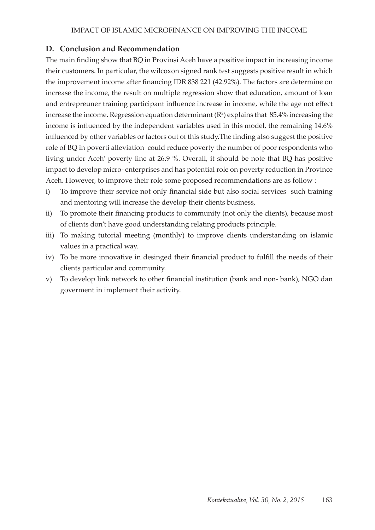## **D. Conclusion and Recommendation**

The main finding show that BQ in Provinsi Aceh have a positive impact in increasing income their customers. In particular, the wilcoxon signed rank test suggests positive result in which the improvement income after financing IDR 838 221 (42.92%). The factors are determine on increase the income, the result on multiple regression show that education, amount of loan and entrepreuner training participant influence increase in income, while the age not effect increase the income. Regression equation determinant ( $\mathbb{R}^2$ ) explains that 85.4% increasing the income is influenced by the independent variables used in this model, the remaining 14.6% influenced by other variables or factors out of this study. The finding also suggest the positive role of BQ in poverti alleviation could reduce poverty the number of poor respondents who living under Aceh' poverty line at 26.9 %. Overall, it should be note that BQ has positive impact to develop micro- enterprises and has potential role on poverty reduction in Province Aceh. However, to improve their role some proposed recommendations are as follow :

- i) To improve their service not only financial side but also social services such training and mentoring will increase the develop their clients business,
- ii) To promote their financing products to community (not only the clients), because most of clients don't have good understanding relating products principle.
- iii) To making tutorial meeting (monthly) to improve clients understanding on islamic values in a practical way.
- iv) To be more innovative in desinged their financial product to fulfill the needs of their clients particular and community.
- v) To develop link network to other financial institution (bank and non- bank), NGO dan goverment in implement their activity.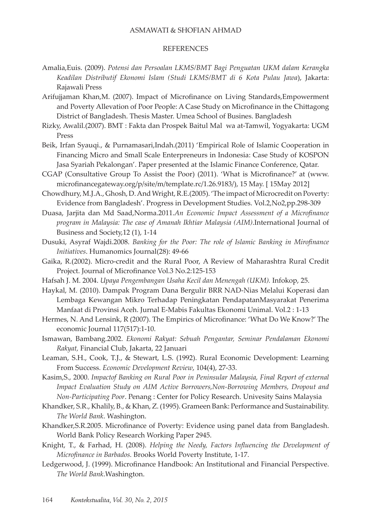## **REFERENCES**

- Amalia,Euis. (2009). *Potensi dan Persoalan LKMS/BMT Bagi Penguatan UKM dalam Kerangka Keadilan Distributif Ekonomi Islam (Studi LKMS/BMT di 6 Kota Pulau Jawa*), Jakarta: Rajawali Press
- Arifujjaman Khan,M. (2007). Impact of Microfinance on Living Standards,Empowerment and Poverty Allevation of Poor People: A Case Study on Microfinance in the Chittagong District of Bangladesh. Thesis Master. Umea School of Busines. Bangladesh
- Rizky, Awalil.(2007). BMT : Fakta dan Prospek Baitul Mal wa at-Tamwil, Yogyakarta: UGM Press
- Beik, Irfan Syauqi., & Purnamasari,Indah.(2011) 'Empirical Role of Islamic Cooperation in Financing Micro and Small Scale Enterpreneurs in Indonesia: Case Study of KOSPON Jasa Syariah Pekalongan'. Paper presented at the Islamic Finance Conference, Qatar.
- CGAP (Consultative Group To Assist the Poor) (2011). 'What is Microfinance?' at (www. microfinancegateway.org/p/site/m/template.rc/1.26.9183/), 15 May. [ 15May 2012]
- Chowdhury, M.J.A., Ghosh, D. And Wright, R.E.(2005). 'The impact of Microcredit on Poverty: Evidence from Bangladesh'. Progress in Development Studies. Vol.2,No2,pp.298-309
- Duasa, Jarjita dan Md Saad,Norma.2011.*An Economic Impact Assessment of a Microfinance program in Malaysia: The case of Amanah Ikhtiar Malaysia (AIM)*.International Journal of Business and Society,12 (1), 1-14
- Dusuki, Asyraf Wajdi.2008. *Banking for the Poor: The role of Islamic Banking in Mirofinance Initiatives*. Humanomics Journal(28): 49-66
- Gaika, R.(2002). Micro-credit and the Rural Poor, A Review of Maharashtra Rural Credit Project. Journal of Microfinance Vol.3 No.2:125-153
- Hafsah J. M. 2004. *Upaya Pengembangan Usaha Kecil dan Menengah (UKM).* Infokop, 25.
- Haykal, M. (2010). Dampak Program Dana Bergulir BRR NAD-Nias Melalui Koperasi dan Lembaga Kewangan Mikro Terhadap Peningkatan PendapatanMasyarakat Penerima Manfaat di Provinsi Aceh. Jurnal E-Mabis Fakultas Ekonomi Unimal. Vol.2 : 1-13
- Hermes, N. And Lensink, R (2007). The Empirics of Microfinance: 'What Do We Know?' The economic Journal 117(517):1-10.
- Ismawan, Bambang.2002. *Ekonomi Rakyat: Sebuah Pengantar, Seminar Pendalaman Ekonomi Rakyat,* Financial Club, Jakarta, 22 Januari
- Leaman, S.H., Cook, T.J., & Stewart, L.S. (1992). Rural Economic Development: Learning From Success. *Economic Development Review*, 104(4), 27-33.
- Kasim,S., 2000. *Impactof Banking on Rural Poor in Peninsular Malaysia, Final Report of external Impact Evaluation Study on AIM Active Borrowers,Non-Borrowing Members, Dropout and Non-Participating Poor.* Penang : Center for Policy Research. Univesity Sains Malaysia
- Khandker, S.R., Khalily, B., & Khan, Z. (1995). Grameen Bank: Performance and Sustainability. *The World Bank*. Washington.
- Khandker, S.R.2005. Microfinance of Poverty: Evidence using panel data from Bangladesh. World Bank Policy Research Working Paper 2945.
- Knight, T., & Farhad, H. (2008). *Helping the Needy, Factors Influencing the Development of Microfinance in Barbados.* Brooks World Poverty Institute, 1-17.
- Ledgerwood, J. (1999). Microfinance Handbook: An Institutional and Financial Perspective. *The World Bank*.Washington.